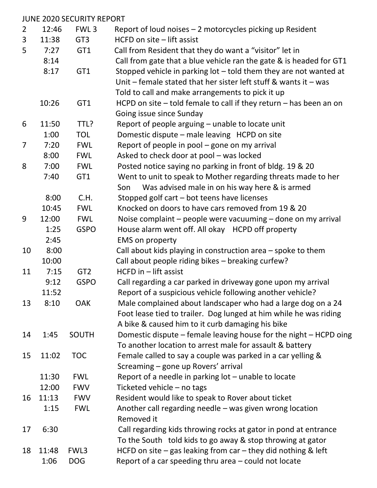|                |       | <b>JUNE 2020 SECURITY REPORT</b> |                                                                        |
|----------------|-------|----------------------------------|------------------------------------------------------------------------|
| $\overline{2}$ | 12:46 | FWL <sub>3</sub>                 | Report of loud noises - 2 motorcycles picking up Resident              |
| $\overline{3}$ | 11:38 | GT <sub>3</sub>                  | HCFD on site - lift assist                                             |
| 5              | 7:27  | GT1                              | Call from Resident that they do want a "visitor" let in                |
|                | 8:14  |                                  | Call from gate that a blue vehicle ran the gate & is headed for GT1    |
|                | 8:17  | GT1                              | Stopped vehicle in parking lot $-$ told them they are not wanted at    |
|                |       |                                  | Unit – female stated that her sister left stuff & wants it – was       |
|                |       |                                  | Told to call and make arrangements to pick it up                       |
|                | 10:26 | GT1                              | HCPD on site $-$ told female to call if they return $-$ has been an on |
|                |       |                                  | Going issue since Sunday                                               |
| 6              | 11:50 | TTL?                             | Report of people arguing - unable to locate unit                       |
|                | 1:00  | <b>TOL</b>                       | Domestic dispute – male leaving HCPD on site                           |
| $\overline{7}$ | 7:20  | <b>FWL</b>                       | Report of people in pool – gone on my arrival                          |
|                | 8:00  | <b>FWL</b>                       | Asked to check door at pool - was locked                               |
| 8              | 7:00  | <b>FWL</b>                       | Posted notice saying no parking in front of bldg. 19 & 20              |
|                | 7:40  | GT1                              | Went to unit to speak to Mother regarding threats made to her          |
|                |       |                                  | Was advised male in on his way here & is armed<br>Son                  |
|                | 8:00  | C.H.                             | Stopped golf cart - bot teens have licenses                            |
|                | 10:45 | <b>FWL</b>                       | Knocked on doors to have cars removed from 19 & 20                     |
| 9              | 12:00 | <b>FWL</b>                       | Noise complaint – people were vacuuming – done on my arrival           |
|                | 1:25  | <b>GSPO</b>                      | House alarm went off. All okay HCPD off property                       |
|                | 2:45  |                                  | <b>EMS</b> on property                                                 |
| 10             | 8:00  |                                  | Call about kids playing in construction area – spoke to them           |
|                | 10:00 |                                  | Call about people riding bikes - breaking curfew?                      |
| 11             | 7:15  | GT <sub>2</sub>                  | HCFD in - lift assist                                                  |
|                | 9:12  | <b>GSPO</b>                      | Call regarding a car parked in driveway gone upon my arrival           |
|                | 11:52 |                                  | Report of a suspicious vehicle following another vehicle?              |
| 13             | 8:10  | <b>OAK</b>                       | Male complained about landscaper who had a large dog on a 24           |
|                |       |                                  | Foot lease tied to trailer. Dog lunged at him while he was riding      |
|                |       |                                  | A bike & caused him to it curb damaging his bike                       |
| 14             | 1:45  | SOUTH                            | Domestic dispute – female leaving house for the night – HCPD oing      |
|                |       |                                  | To another location to arrest male for assault & battery               |
| 15             | 11:02 | <b>TOC</b>                       | Female called to say a couple was parked in a car yelling &            |
|                |       |                                  | Screaming - gone up Rovers' arrival                                    |
|                | 11:30 | <b>FWL</b>                       | Report of a needle in parking lot – unable to locate                   |
|                | 12:00 | <b>FWV</b>                       | Ticketed vehicle - no tags                                             |
| 16             | 11:13 | <b>FWV</b>                       | Resident would like to speak to Rover about ticket                     |
|                | 1:15  | <b>FWL</b>                       | Another call regarding needle - was given wrong location               |
|                |       |                                  | Removed it                                                             |
| 17             | 6:30  |                                  | Call regarding kids throwing rocks at gator in pond at entrance        |
|                |       |                                  | To the South told kids to go away & stop throwing at gator             |
| 18             | 11:48 | FWL3                             | HCFD on site $-$ gas leaking from car $-$ they did nothing & left      |
|                | 1:06  | <b>DOG</b>                       | Report of a car speeding thru area $-$ could not locate                |